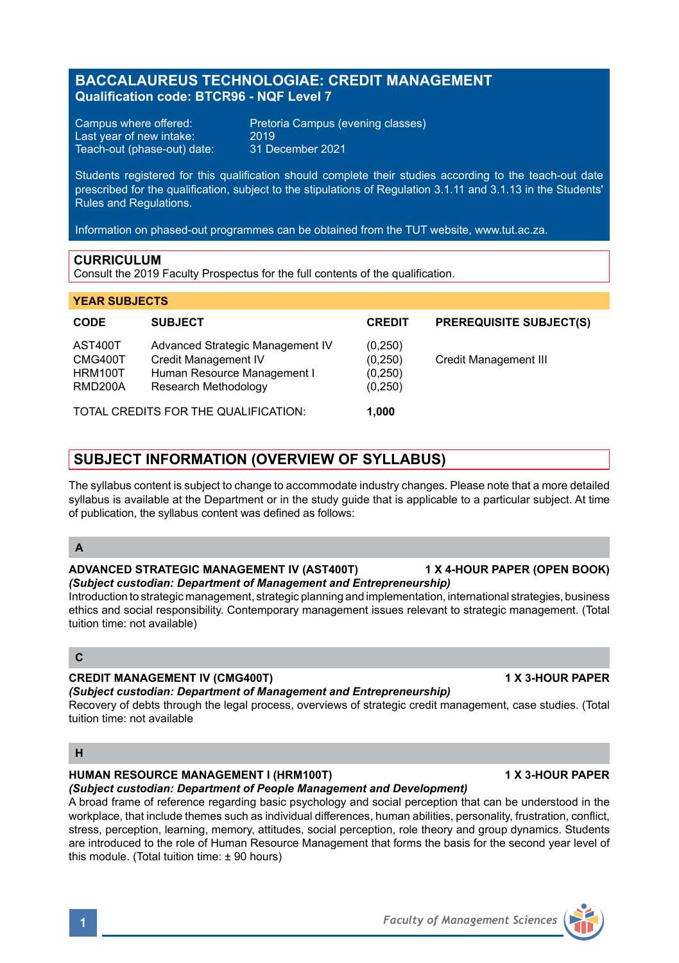## **BACCALAUREUS TECHNOLOGIAE: CREDIT MANAGEMENT Qualification code: BTCR96 - NQF Level 7**

Last year of new intake: 2019<br>Teach-out (phase-out) date: 31 December 2021 Teach-out (phase-out) date:

Campus where offered: Pretoria Campus (evening classes)

Students registered for this qualification should complete their studies according to the teach-out date prescribed for the qualification, subject to the stipulations of Regulation 3.1.11 and 3.1.13 in the Students' Rules and Regulations.

Information on phased-out programmes can be obtained from the TUT website, www.tut.ac.za.

#### **CURRICULUM**

Consult the 2019 Faculty Prospectus for the full contents of the qualification.

| <b>YEAR SUBJECTS</b>                     |                                                                                                                 |                                              |                                |
|------------------------------------------|-----------------------------------------------------------------------------------------------------------------|----------------------------------------------|--------------------------------|
| <b>CODE</b>                              | <b>SUBJECT</b>                                                                                                  | <b>CREDIT</b>                                | <b>PREREQUISITE SUBJECT(S)</b> |
| AST400T<br>CMG400T<br>HRM100T<br>RMD200A | Advanced Strategic Management IV<br>Credit Management IV<br>Human Resource Management I<br>Research Methodology | (0, 250)<br>(0, 250)<br>(0, 250)<br>(0, 250) | Credit Management III          |
| TOTAL CREDITS FOR THE QUALIFICATION:     |                                                                                                                 | 1.000                                        |                                |

# **SUBJECT INFORMATION (OVERVIEW OF SYLLABUS)**

The syllabus content is subject to change to accommodate industry changes. Please note that a more detailed syllabus is available at the Department or in the study guide that is applicable to a particular subject. At time of publication, the syllabus content was defined as follows:

#### **A**

#### **ADVANCED STRATEGIC MANAGEMENT IV (AST400T) 1 X 4-HOUR PAPER (OPEN BOOK)** *(Subject custodian: Department of Management and Entrepreneurship)*

Introduction to strategic management, strategic planning and implementation, international strategies, business ethics and social responsibility. Contemporary management issues relevant to strategic management. (Total tuition time: not available)

### **C**

### **CREDIT MANAGEMENT IV (CMG400T) 1 X 3-HOUR PAPER**

### *(Subject custodian: Department of Management and Entrepreneurship)*

Recovery of debts through the legal process, overviews of strategic credit management, case studies. (Total tuition time: not available

### **H**

### **HUMAN RESOURCE MANAGEMENT I (HRM100T) 1 X 3-HOUR PAPER**

#### *(Subject custodian: Department of People Management and Development)*

A broad frame of reference regarding basic psychology and social perception that can be understood in the workplace, that include themes such as individual differences, human abilities, personality, frustration, conflict, stress, perception, learning, memory, attitudes, social perception, role theory and group dynamics. Students are introduced to the role of Human Resource Management that forms the basis for the second year level of this module. (Total tuition time: ± 90 hours)